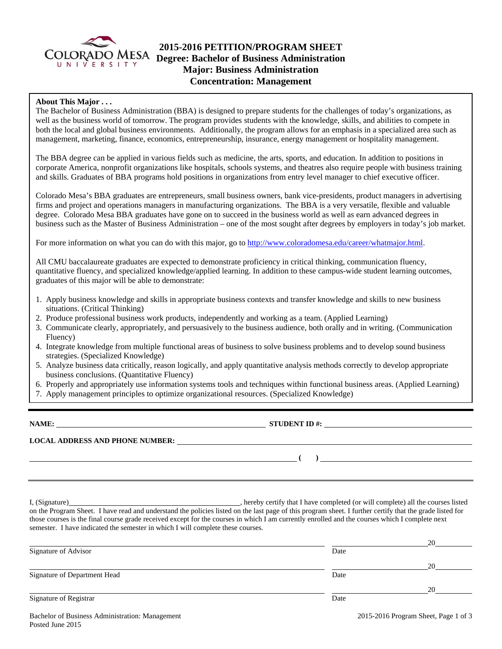

# **2015-2016 PETITION/PROGRAM SHEET**  COLORADO MESA **Degree: Bachelor of Business Administration Major: Business Administration Concentration: Management**

## **About This Major . . .**

The Bachelor of Business Administration (BBA) is designed to prepare students for the challenges of today's organizations, as well as the business world of tomorrow. The program provides students with the knowledge, skills, and abilities to compete in both the local and global business environments. Additionally, the program allows for an emphasis in a specialized area such as management, marketing, finance, economics, entrepreneurship, insurance, energy management or hospitality management.

The BBA degree can be applied in various fields such as medicine, the arts, sports, and education. In addition to positions in corporate America, nonprofit organizations like hospitals, schools systems, and theatres also require people with business training and skills. Graduates of BBA programs hold positions in organizations from entry level manager to chief executive officer.

Colorado Mesa's BBA graduates are entrepreneurs, small business owners, bank vice-presidents, product managers in advertising firms and project and operations managers in manufacturing organizations. The BBA is a very versatile, flexible and valuable degree. Colorado Mesa BBA graduates have gone on to succeed in the business world as well as earn advanced degrees in business such as the Master of Business Administration – one of the most sought after degrees by employers in today's job market.

For more information on what you can do with this major, go to http://www.coloradomesa.edu/career/whatmajor.html.

All CMU baccalaureate graduates are expected to demonstrate proficiency in critical thinking, communication fluency, quantitative fluency, and specialized knowledge/applied learning. In addition to these campus-wide student learning outcomes, graduates of this major will be able to demonstrate:

- 1. Apply business knowledge and skills in appropriate business contexts and transfer knowledge and skills to new business situations. (Critical Thinking)
- 2. Produce professional business work products, independently and working as a team. (Applied Learning)
- 3. Communicate clearly, appropriately, and persuasively to the business audience, both orally and in writing. (Communication Fluency)
- 4. Integrate knowledge from multiple functional areas of business to solve business problems and to develop sound business strategies. (Specialized Knowledge)
- 5. Analyze business data critically, reason logically, and apply quantitative analysis methods correctly to develop appropriate business conclusions. (Quantitative Fluency)
- 6. Properly and appropriately use information systems tools and techniques within functional business areas. (Applied Learning)
- 7. Apply management principles to optimize organizational resources. (Specialized Knowledge)

**NAME: STUDENT ID #: STUDENT ID #: STUDENT ID #: STUDENT ID #: STUDENT ID #: STUDENT ID #: STUDENT ID #: STUDENT ID #: STUDENT ID #: STUDENT ID #: STUDENT ID #: STUDENT ID #: STUDENT ID #: STUDE** 

**LOCAL ADDRESS AND PHONE NUMBER:**

 **( )** 

I, (Signature) **Solution** , hereby certify that I have completed (or will complete) all the courses listed on the Program Sheet. I have read and understand the policies listed on the last page of this program sheet. I further certify that the grade listed for those courses is the final course grade received except for the courses in which I am currently enrolled and the courses which I complete next semester. I have indicated the semester in which I will complete these courses.

|                              |      | 20 |
|------------------------------|------|----|
| Signature of Advisor         | Date |    |
|                              |      | 20 |
| Signature of Department Head | Date |    |
|                              |      | 20 |
| Signature of Registrar       | Date |    |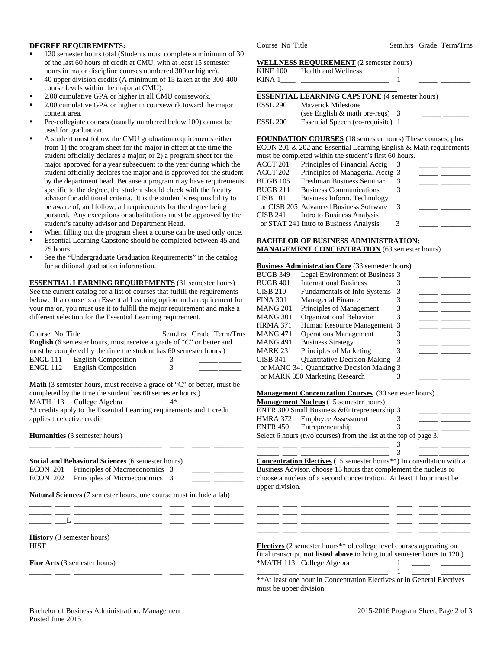### **DEGREE REQUIREMENTS:**

- 120 semester hours total (Students must complete a minimum of 30 of the last 60 hours of credit at CMU, with at least 15 semester hours in major discipline courses numbered 300 or higher).
- 40 upper division credits (A minimum of 15 taken at the 300-400 course levels within the major at CMU).
- 2.00 cumulative GPA or higher in all CMU coursework.
- 2.00 cumulative GPA or higher in coursework toward the major content area.
- Pre-collegiate courses (usually numbered below 100) cannot be used for graduation.
- A student must follow the CMU graduation requirements either from 1) the program sheet for the major in effect at the time the student officially declares a major; or 2) a program sheet for the major approved for a year subsequent to the year during which the student officially declares the major and is approved for the student by the department head. Because a program may have requirements specific to the degree, the student should check with the faculty advisor for additional criteria. It is the student's responsibility to be aware of, and follow, all requirements for the degree being pursued. Any exceptions or substitutions must be approved by the student's faculty advisor and Department Head.
- When filling out the program sheet a course can be used only once.
- Essential Learning Capstone should be completed between 45 and 75 hours.
- See the "Undergraduate Graduation Requirements" in the catalog for additional graduation information.

**ESSENTIAL LEARNING REQUIREMENTS** (31 semester hours) See the current catalog for a list of courses that fulfill the requirements below. If a course is an Essential Learning option and a requirement for your major, you must use it to fulfill the major requirement and make a different selection for the Essential Learning requirement.

| Course No Title<br>Sem.hrs Grade Term/Trns                                                                                                     | <b>MANG 471</b><br><b>Operations Management</b><br>3                                   |
|------------------------------------------------------------------------------------------------------------------------------------------------|----------------------------------------------------------------------------------------|
| English (6 semester hours, must receive a grade of "C" or better and                                                                           | 3<br><b>MANG 491</b><br><b>Business Strategy</b><br>$\frac{1}{2}$                      |
| must be completed by the time the student has 60 semester hours.)                                                                              | Principles of Marketing<br><b>MARK 231</b>                                             |
| <b>English Composition</b><br>ENGL 111                                                                                                         | <b>Quantitative Decision Making</b><br><b>CISB 341</b>                                 |
| <b>English Composition</b><br><b>ENGL 112</b>                                                                                                  | or MANG 341 Quantitative Decision Making 3                                             |
|                                                                                                                                                | or MARK 350 Marketing Research<br>3                                                    |
| Math (3 semester hours, must receive a grade of "C" or better, must be                                                                         |                                                                                        |
| completed by the time the student has 60 semester hours.)                                                                                      | <b>Management Concentration Courses</b> (30 semester hours)                            |
| MATH 113 College Algebra                                                                                                                       | <b>Management Nucleus</b> (15 semester hours)                                          |
| *3 credits apply to the Essential Learning requirements and 1 credit                                                                           | ENTR 300 Small Business & Entrepreneurship 3                                           |
| applies to elective credit                                                                                                                     | <b>HMRA 372</b><br><b>Employee Assessment</b><br>3                                     |
|                                                                                                                                                | <b>ENTR 450</b><br>Entrepreneurship                                                    |
| Humanities (3 semester hours)                                                                                                                  | Select 6 hours (two courses) from the list at the top of page 3.                       |
|                                                                                                                                                |                                                                                        |
|                                                                                                                                                |                                                                                        |
| Social and Behavioral Sciences (6 semester hours)                                                                                              | Concentration Electives (15 semester hours**) In consultation with a                   |
| Principles of Macroeconomics 3<br><b>ECON 201</b>                                                                                              | Business Advisor, choose 15 hours that complement the nucleus or                       |
| Principles of Microeconomics 3<br>ECON 202                                                                                                     | choose a nucleus of a second concentration. At least 1 hour must be                    |
|                                                                                                                                                | upper division.                                                                        |
| <b>Natural Sciences</b> (7 semester hours, one course must include a lab)                                                                      |                                                                                        |
|                                                                                                                                                |                                                                                        |
|                                                                                                                                                |                                                                                        |
| $\mathbf{L}$ and $\mathbf{L}$ and $\mathbf{L}$ and $\mathbf{L}$ are the set of $\mathbf{L}$ and $\mathbf{L}$ and $\mathbf{L}$ and $\mathbf{L}$ |                                                                                        |
|                                                                                                                                                |                                                                                        |
| <b>History</b> (3 semester hours)                                                                                                              |                                                                                        |
| <b>HIST</b>                                                                                                                                    | <b>Electives</b> (2 semester hours <sup>**</sup> of college level courses appearing on |
|                                                                                                                                                | final transcript, <b>not listed above</b> to bring total semester hours to 120.)       |
| Fine Arts (3 semester hours)                                                                                                                   | *MATH 113 College Algebra                                                              |
|                                                                                                                                                |                                                                                        |
|                                                                                                                                                | ** At least one hour in Concentration Electives or in General Electives                |
|                                                                                                                                                | must ha mnnan dirigian                                                                 |

Course No Title Sem.hrs Grade Term/Trns

#### **WELLNESS REQUIREMENT** (2 semester hours)

| <b>KINE 100</b> | <b>Health and Wellness</b>                                                 |  |  |
|-----------------|----------------------------------------------------------------------------|--|--|
| KINA 1          | the control of the control of the control of the control of the control of |  |  |
|                 | <b>ESSENTIAL LEARNING CAPSTONE</b> (4 semester hours)                      |  |  |
| ESSL 290        | Maverick Milestone                                                         |  |  |
|                 | (see English $&$ math pre-reqs) 3                                          |  |  |
| <b>ESSL 200</b> | Essential Speech (co-requisite) 1                                          |  |  |

**FOUNDATION COURSES** (18 semester hours) These courses, plus ECON 201 & 202 and Essential Learning English & Math requirements

|          | must be completed within the student's first 60 hours. |   |  |
|----------|--------------------------------------------------------|---|--|
| ACCT 201 | Principles of Financial Acctg                          |   |  |
| ACCT 202 | Principles of Managerial Acctg 3                       |   |  |
| BUGB 105 | Freshman Business Seminar                              |   |  |
| BUGB 211 | <b>Business Communications</b>                         |   |  |
| CISB 101 | Business Inform. Technology                            |   |  |
|          | or CISB 205 Advanced Business Software                 | 3 |  |
| CISB 241 | Intro to Business Analysis                             |   |  |
|          | or STAT 241 Intro to Business Analysis                 | 3 |  |

### **BACHELOR OF BUSINESS ADMINISTRATION: MANAGEMENT CONCENTRATION** (63 semester hours)

## **Business Administration Core** (33 semester hours)

| <b>BUGB 349</b> | Legal Environment of Business 3            |  |  |
|-----------------|--------------------------------------------|--|--|
| BUGB 401        | <b>International Business</b>              |  |  |
| CISB 210        | Fundamentals of Info Systems               |  |  |
| FINA 301        | <b>Managerial Finance</b>                  |  |  |
| MANG 201        | Principles of Management                   |  |  |
| MANG 301        | Organizational Behavior                    |  |  |
| HRMA 371        | Human Resource Management 3                |  |  |
| MANG 471        | <b>Operations Management</b>               |  |  |
| MANG 491        | <b>Business Strategy</b>                   |  |  |
| MARK 231        | Principles of Marketing                    |  |  |
| CISB 341        | <b>Quantitative Decision Making</b>        |  |  |
|                 | or MANG 341 Quantitative Decision Making 3 |  |  |
|                 | or MARK 350 Marketing Research             |  |  |
|                 |                                            |  |  |

#### **Management Concentration Courses** (30 semester hours)

| <b>Management Nucleus</b> (15 semester hours)                    |  |  |
|------------------------------------------------------------------|--|--|
| ENTR 300 Small Business & Entrepreneurship 3                     |  |  |
| HMRA 372 Employee Assessment                                     |  |  |
| ENTR 450 Entrepreneurship                                        |  |  |
| Select 6 hours (two courses) from the list at the top of page 3. |  |  |
|                                                                  |  |  |

\*\*At least one hour in Concentration Electives or in General Electives must be upper division.